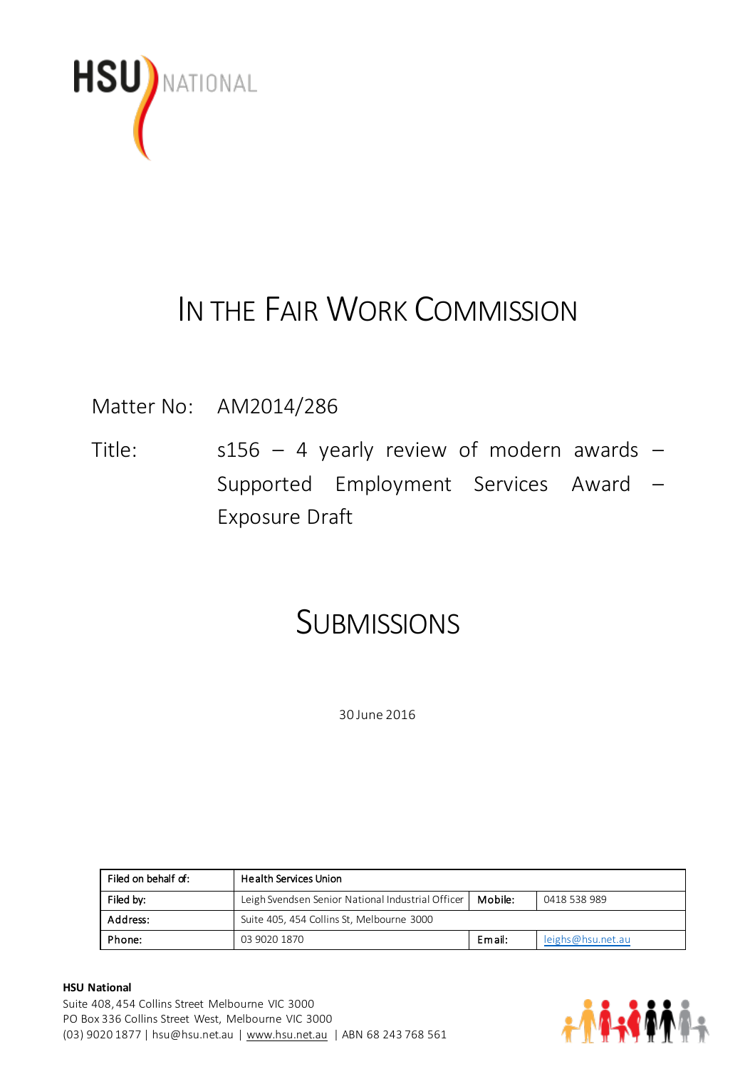

# IN THE FAIR WORK COMMISSION

Matter No: AM2014/286

Title:  $s156 - 4$  yearly review of modern awards -Supported Employment Services Award – Exposure Draft

# **SUBMISSIONS**

30 June 2016

| Filed on behalf of: | <b>Health Services Union</b>                      |         |                   |
|---------------------|---------------------------------------------------|---------|-------------------|
| Filed by:           | Leigh Svendsen Senior National Industrial Officer | Mobile: | 0418 538 989      |
| Address:            | Suite 405, 454 Collins St, Melbourne 3000         |         |                   |
| Phone:              | 03 9020 1870                                      | Email:  | leighs@hsu.net.au |

#### **HSU National**

Suite 408, 454 Collins Street Melbourne VIC 3000 PO Box 336 Collins Street West, Melbourne VIC 3000 (03) 9020 1877 | hsu@hsu.net.au | [www.hsu.net.au](http://www.hsu.net.au/) | ABN 68 243 768 561

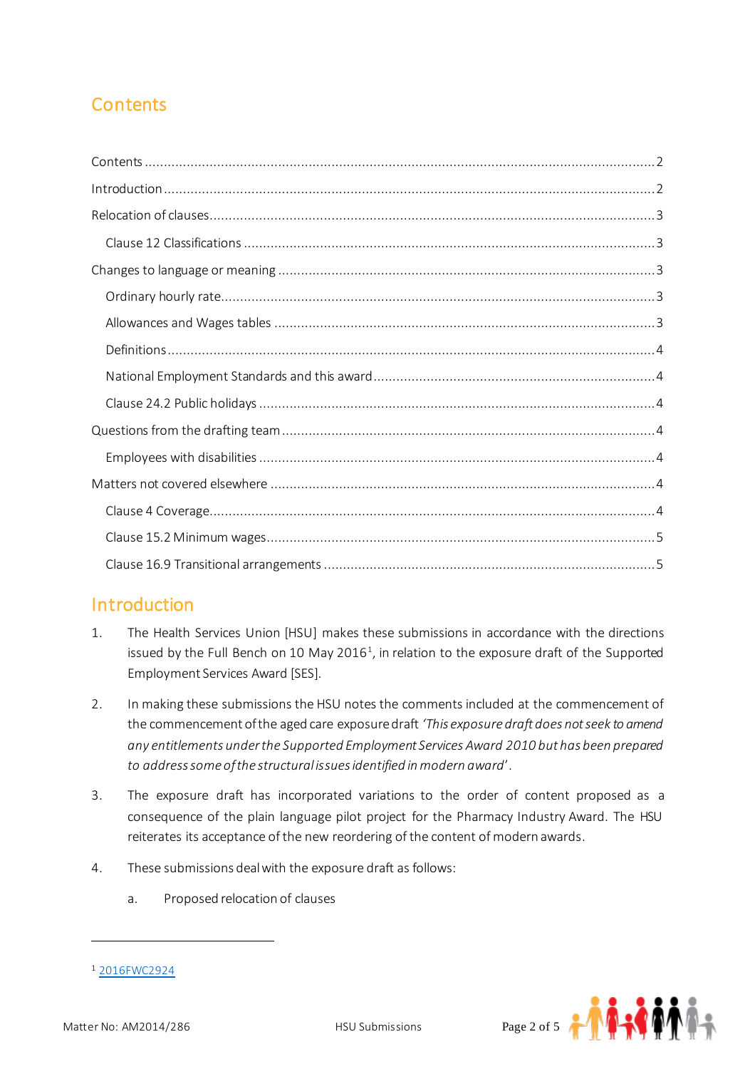# <span id="page-1-0"></span>**Contents**

## <span id="page-1-1"></span>**Introduction**

- 1. The Health Services Union [HSU] makes these submissions in accordance with the directions issued by the Full Bench on 10 May 2016<sup>1</sup>, in relation to the exposure draft of the Supported Employment Services Award [SES].
- 2. In making these submissions the HSU notes the comments included at the commencement of the commencement of the aged care exposure draft *'This exposure draft does not seek to amend any entitlements under the Supported Employment Services Award 2010 but has been prepared to address some of the structural issues identified in modern award*'.
- 3. The exposure draft has incorporated variations to the order of content proposed as a consequence of the plain language pilot project for the Pharmacy Industry Award. The HSU reiterates its acceptance of the new reordering of the content of modern awards.
- 4. These submissions deal with the exposure draft as follows:
	- a. Proposed relocation of clauses

 $\overline{a}$ 



<sup>1</sup> [2016FWC2924](https://www.fwc.gov.au/documents/decisionssigned/html/2016FWC2924.htm)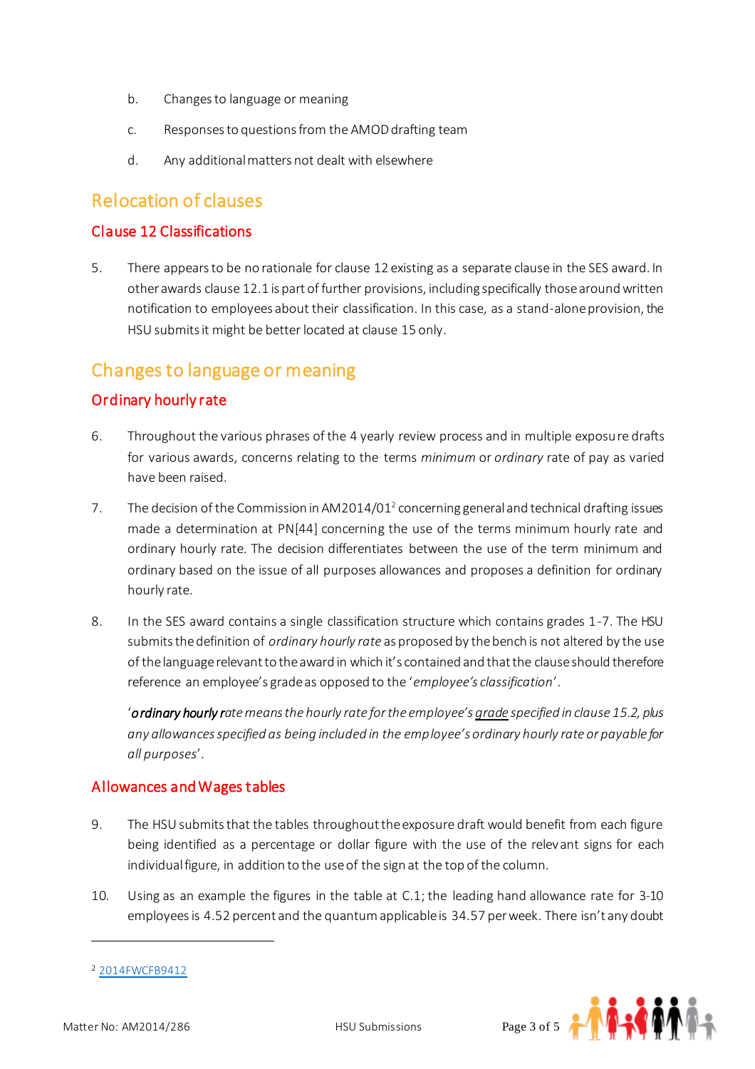- b. Changes to language or meaning
- c. Responses to questions from the AMOD drafting team
- d. Any additional matters not dealt with elsewhere

### <span id="page-2-0"></span>Relocation of clauses

#### <span id="page-2-1"></span>Clause 12 Classifications

5. There appears to be no rationale for clause 12 existing as a separate clause in the SES award. In other awards clause 12.1 is part of further provisions, including specifically those around written notification to employees about their classification. In this case, as a stand-alone provision, the HSU submits it might be better located at clause 15 only.

### <span id="page-2-2"></span>Changes to language or meaning

#### <span id="page-2-3"></span>Ordinary hourly rate

- 6. Throughout the various phrases of the 4 yearly review process and in multiple exposure drafts for various awards, concerns relating to the terms *minimum* or *ordinary* rate of pay as varied have been raised.
- 7. The decision of the Commission in AM2014/01<sup>2</sup> concerning general and technical drafting issues made a determination at PN[44] concerning the use of the terms minimum hourly rate and ordinary hourly rate. The decision differentiates between the use of the term minimum and ordinary based on the issue of all purposes allowances and proposes a definition for ordinary hourly rate.
- 8. In the SES award contains a single classification structure which contains grades 1-7. The HSU submits the definition of *ordinary hourly rate* as proposed by the bench is not altered by the use of the language relevant to the award in which it's contained and that the clause should therefore reference an employee's grade as opposed to the '*employee's classification*'.

'*ordinary hourly rate means the hourly rate for the employee's grade specified in clause 15.2, plus any allowances specified as being included in the employee's ordinary hourly rate or payable for all purposes*'.

#### <span id="page-2-4"></span>Allowances and Wages tables

- 9. The HSU submits that the tables throughout the exposure draft would benefit from each figure being identified as a percentage or dollar figure with the use of the relevant signs for each individual figure, in addition to the use of the sign at the top of the column.
- 10. Using as an example the figures in the table at C.1; the leading hand allowance rate for 3-10 employees is 4.52 percent and the quantum applicable is 34.57 per week. There isn't any doubt

<sup>2</sup> [2014FWCFB9412](https://www.fwc.gov.au/documents/decisionssigned/html/2014FWCFB9412.htm)



 $\overline{a}$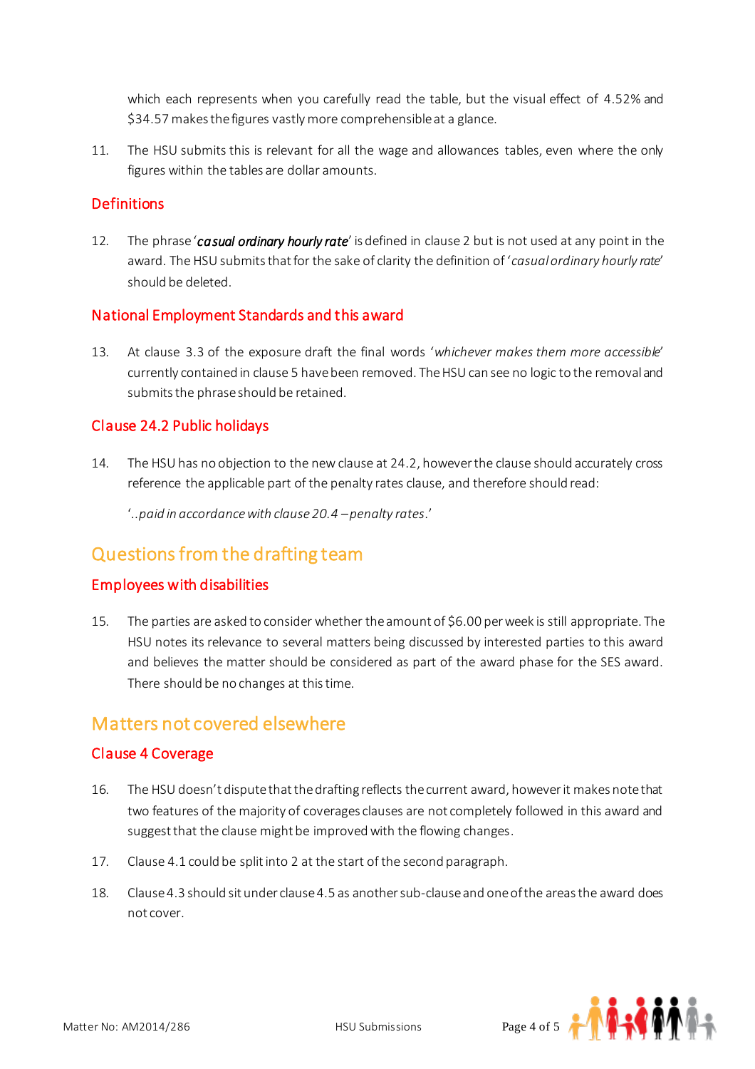which each represents when you carefully read the table, but the visual effect of 4.52% and \$34.57 makes the figures vastly more comprehensible at a glance.

11. The HSU submits this is relevant for all the wage and allowances tables, even where the only figures within the tables are dollar amounts.

#### <span id="page-3-0"></span>**Definitions**

12. The phrase '*casual ordinary hourly rate*' is defined in clause 2 but is not used at any point in the award. The HSU submits that for the sake of clarity the definition of '*casual ordinary hourly rate'* should be deleted.

#### <span id="page-3-1"></span>National Employment Standards and this award

13. At clause 3.3 of the exposure draft the final words '*whichever makes them more accessible*' currently contained in clause 5 have been removed. The HSU can see no logic to the removal and submits the phrase should be retained.

#### <span id="page-3-2"></span>Clause 24.2 Public holidays

14. The HSU has no objection to the new clause at 24.2, however the clause should accurately cross reference the applicable part of the penalty rates clause, and therefore should read:

'*..paid in accordance with clause 20.4 –penalty rates*.'

## <span id="page-3-3"></span>Questions from the drafting team

#### <span id="page-3-4"></span>Employees with disabilities

15. The parties are asked to consider whether the amount of \$6.00 per week is still appropriate. The HSU notes its relevance to several matters being discussed by interested parties to this award and believes the matter should be considered as part of the award phase for the SES award. There should be no changes at this time.

## <span id="page-3-5"></span>Matters not covered elsewhere

#### <span id="page-3-6"></span>Clause 4 Coverage

- 16. The HSU doesn't dispute that the drafting reflects the current award, however it makes note that two features of the majority of coverages clauses are not completely followed in this award and suggest that the clause might be improved with the flowing changes.
- 17. Clause 4.1 could be split into 2 at the start of the second paragraph.
- 18. Clause 4.3 should sit under clause 4.5 as another sub-clause and one of the areas the award does not cover.